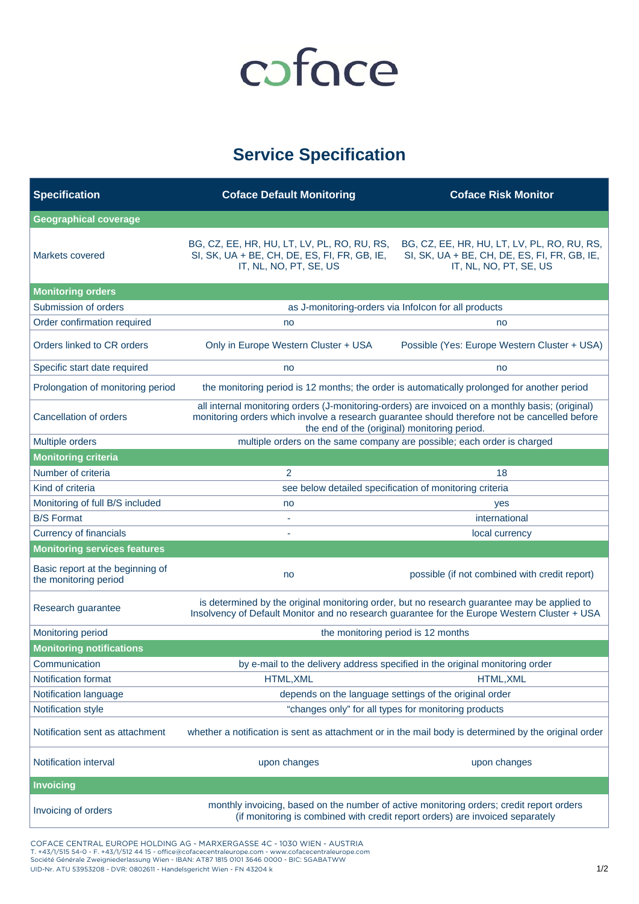## coface

## **Service Specification**

| <b>Specification</b>                                      | <b>Coface Default Monitoring</b>                                                                                                                                                                                                                  | <b>Coface Risk Monitor</b>                                                                                                                                                |  |  |
|-----------------------------------------------------------|---------------------------------------------------------------------------------------------------------------------------------------------------------------------------------------------------------------------------------------------------|---------------------------------------------------------------------------------------------------------------------------------------------------------------------------|--|--|
| <b>Geographical coverage</b>                              |                                                                                                                                                                                                                                                   |                                                                                                                                                                           |  |  |
| Markets covered                                           | BG, CZ, EE, HR, HU, LT, LV, PL, RO, RU, RS,<br>SI, SK, UA + BE, CH, DE, ES, FI, FR, GB, IE,<br>IT, NL, NO, PT, SE, US                                                                                                                             | BG, CZ, EE, HR, HU, LT, LV, PL, RO, RU, RS,<br>SI, SK, UA + BE, CH, DE, ES, FI, FR, GB, IE,<br>IT, NL, NO, PT, SE, US                                                     |  |  |
| <b>Monitoring orders</b>                                  |                                                                                                                                                                                                                                                   |                                                                                                                                                                           |  |  |
| Submission of orders                                      | as J-monitoring-orders via Infolcon for all products                                                                                                                                                                                              |                                                                                                                                                                           |  |  |
| Order confirmation required                               | no                                                                                                                                                                                                                                                | no                                                                                                                                                                        |  |  |
| Orders linked to CR orders                                | Only in Europe Western Cluster + USA                                                                                                                                                                                                              | Possible (Yes: Europe Western Cluster + USA)                                                                                                                              |  |  |
| Specific start date required                              | no                                                                                                                                                                                                                                                | no                                                                                                                                                                        |  |  |
| Prolongation of monitoring period                         | the monitoring period is 12 months; the order is automatically prolonged for another period                                                                                                                                                       |                                                                                                                                                                           |  |  |
| Cancellation of orders                                    | all internal monitoring orders (J-monitoring-orders) are invoiced on a monthly basis; (original)<br>monitoring orders which involve a research guarantee should therefore not be cancelled before<br>the end of the (original) monitoring period. |                                                                                                                                                                           |  |  |
| Multiple orders                                           | multiple orders on the same company are possible; each order is charged                                                                                                                                                                           |                                                                                                                                                                           |  |  |
| <b>Monitoring criteria</b>                                |                                                                                                                                                                                                                                                   |                                                                                                                                                                           |  |  |
| Number of criteria                                        | 2                                                                                                                                                                                                                                                 | 18                                                                                                                                                                        |  |  |
| Kind of criteria                                          |                                                                                                                                                                                                                                                   | see below detailed specification of monitoring criteria                                                                                                                   |  |  |
| Monitoring of full B/S included                           | no                                                                                                                                                                                                                                                | yes                                                                                                                                                                       |  |  |
| <b>B/S Format</b>                                         |                                                                                                                                                                                                                                                   | international                                                                                                                                                             |  |  |
| <b>Currency of financials</b>                             | local currency                                                                                                                                                                                                                                    |                                                                                                                                                                           |  |  |
| <b>Monitoring services features</b>                       |                                                                                                                                                                                                                                                   |                                                                                                                                                                           |  |  |
| Basic report at the beginning of<br>the monitoring period | no                                                                                                                                                                                                                                                | possible (if not combined with credit report)                                                                                                                             |  |  |
| Research guarantee                                        | is determined by the original monitoring order, but no research guarantee may be applied to<br>Insolvency of Default Monitor and no research guarantee for the Europe Western Cluster + USA                                                       |                                                                                                                                                                           |  |  |
| Monitoring period                                         | the monitoring period is 12 months                                                                                                                                                                                                                |                                                                                                                                                                           |  |  |
| <b>Monitoring notifications</b>                           |                                                                                                                                                                                                                                                   |                                                                                                                                                                           |  |  |
| Communication                                             | by e-mail to the delivery address specified in the original monitoring order                                                                                                                                                                      |                                                                                                                                                                           |  |  |
| Notification format                                       | HTML, XML<br>HTML, XML                                                                                                                                                                                                                            |                                                                                                                                                                           |  |  |
| Notification language                                     | depends on the language settings of the original order                                                                                                                                                                                            |                                                                                                                                                                           |  |  |
| Notification style                                        | "changes only" for all types for monitoring products                                                                                                                                                                                              |                                                                                                                                                                           |  |  |
| Notification sent as attachment                           | whether a notification is sent as attachment or in the mail body is determined by the original order                                                                                                                                              |                                                                                                                                                                           |  |  |
| Notification interval                                     | upon changes                                                                                                                                                                                                                                      | upon changes                                                                                                                                                              |  |  |
| <b>Invoicing</b>                                          |                                                                                                                                                                                                                                                   |                                                                                                                                                                           |  |  |
| Invoicing of orders                                       |                                                                                                                                                                                                                                                   | monthly invoicing, based on the number of active monitoring orders; credit report orders<br>(if monitoring is combined with credit report orders) are invoiced separately |  |  |

COFACE CENTRAL EUROPE HOLDING AG - MARXERGASSE 4C - 1030 WIEN - AUSTRIA T. +43/1/515 54-0 - F. +43/1/512 44 15 - office@cofacecentraleurope.com - www.cofacecentraleurope.com<br>Société Générale Zweigniederlassung Wien - IBAN: AT87 1815 0101 3646 0000 - BIC: SGABATWW UID-Nr. ATU 53953208 - DVR: 0802611 - Handelsgericht Wien - FN 43204 k 1/2 and the UID-Nr. ATU 53953208 - DVR: 0802611 - Handelsgericht Wien - FN 43204 k